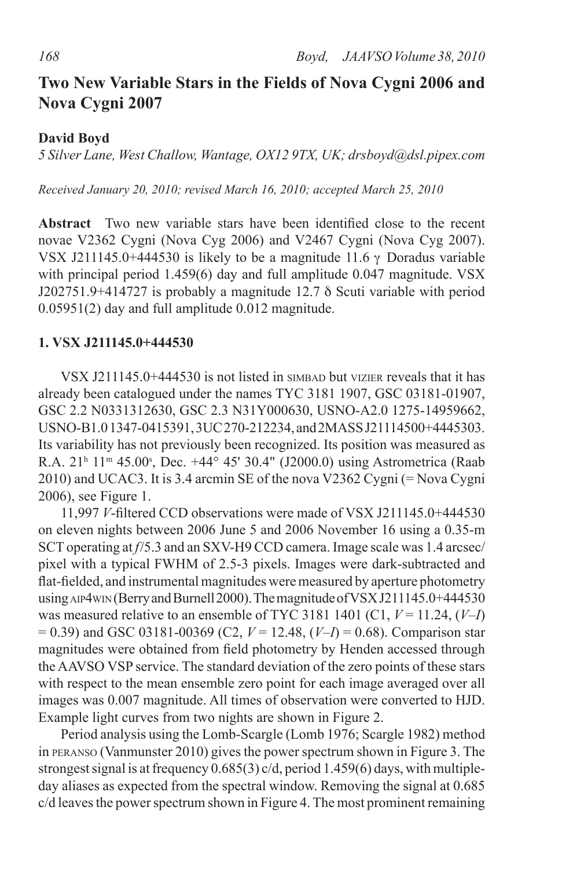# **Two New Variable Stars in the Fields of Nova Cygni 2006 and Nova Cygni 2007**

### **David Boyd**

*5 Silver Lane, West Challow, Wantage, OX12 9TX, UK; drsboyd@dsl.pipex.com*

*Received January 20, 2010; revised March 16, 2010; accepted March 25, 2010*

**Abstract** Two new variable stars have been identified close to the recent novae V2362 Cygni (Nova Cyg 2006) and V2467 Cygni (Nova Cyg 2007). VSX J211145.0+444530 is likely to be a magnitude 11.6  $\gamma$  Doradus variable with principal period 1.459(6) day and full amplitude 0.047 magnitude. VSX J202751.9+414727 is probably a magnitude 12.7 δ Scuti variable with period  $0.05951(2)$  day and full amplitude  $0.012$  magnitude.

#### **1. VSX J211145.0+444530**

VSX J211145.0 $+444530$  is not listed in small but vizier reveals that it has already been catalogued under the names TYC 3181 1907, GSC 03181-01907, GSC 2.2 N0331312630, GSC 2.3 N31Y000630, USNO-A2.0 1275-14959662, USNO-B1.01347-0415391,3UC270-212234, and2MASSJ21114500+4445303. Its variability has not previously been recognized. Its position was measured as R.A. 21<sup>h</sup> 11<sup>m</sup> 45.00<sup>s</sup>, Dec. +44<sup>o</sup> 45' 30.4" (J2000.0) using Astrometrica (Raab 2010) and UCAC3. It is 3.4 arcmin SE of the nova V2362 Cygni (= Nova Cygni 2006), see Figure 1.

11,997 *V*-filtered CCD observations were made of VSX J211145.0+444530 on eleven nights between 2006 June 5 and 2006 November 16 using a 0.35-m SCT operating at *f*/5.3 and an SXV-H9 CCD camera. Image scale was 1.4 arcsec/ pixel with a typical FWHM of 2.5-3 pixels. Images were dark-subtracted and flat-fielded, and instrumental magnitudes were measured by aperture photometry using AIP4wIN (Berry and Burnell 2000). The magnitude of VSX J211145.0+444530 was measured relative to an ensemble of TYC 3181 1401 (C1,  $V = 11.24$ ,  $(V-I)$ ) = 0.39) and GSC 03181-00369 (C2, *V* = 12.48, (*V–I*) = 0.68). Comparison star magnitudes were obtained from field photometry by Henden accessed through theAAVSO VSP service. The standard deviation of the zero points of these stars with respect to the mean ensemble zero point for each image averaged over all images was 0.007 magnitude. All times of observation were converted to HJD. Example light curves from two nights are shown in Figure 2.

Period analysis using the Lomb-Scargle (Lomb 1976; Scargle 1982) method in PERANSO (Vanmunster 2010) gives the power spectrum shown in Figure 3. The strongest signal is at frequency  $0.685(3)$  c/d, period 1.459(6) days, with multipleday aliases as expected from the spectral window. Removing the signal at 0.685 c/d leaves the power spectrum shown in Figure 4. The most prominent remaining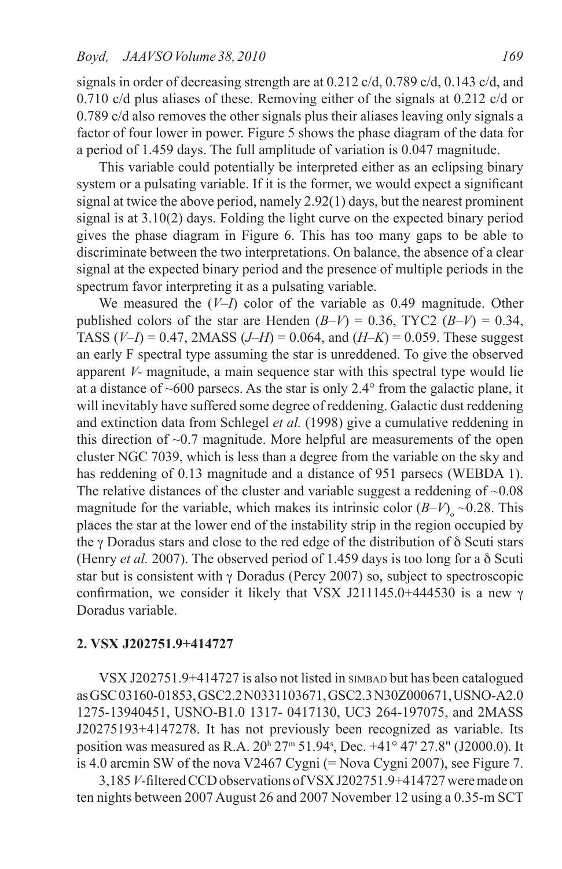signals in order of decreasing strength are at 0.212 c/d, 0.789 c/d, 0.143 c/d, and 0.710 c/d plus aliases of these. Removing either of the signals at 0.212 c/d or 0.789 c/d also removes the other signals plus their aliases leaving only signals a factor of four lower in power. Figure 5 shows the phase diagram of the data for a period of 1.459 days. The full amplitude of variation is 0.047 magnitude.

This variable could potentially be interpreted either as an eclipsing binary system or a pulsating variable. If it is the former, we would expect a significant signal at twice the above period, namely 2.92(1) days, but the nearest prominent signal is at 3.10(2) days. Folding the light curve on the expected binary period gives the phase diagram in Figure 6. This has too many gaps to be able to discriminate between the two interpretations. On balance, the absence of a clear signal at the expected binary period and the presence of multiple periods in the spectrum favor interpreting it as a pulsating variable.

We measured the (*V–I*) color of the variable as 0.49 magnitude. Other published colors of the star are Henden  $(B-V) = 0.36$ , TYC2  $(B-V) = 0.34$ , TASS (*V–I*) = 0.47, 2MASS (*J–H*) = 0.064, and (*H–K*) = 0.059. These suggest an early F spectral type assuming the star is unreddened. To give the observed apparent *V-* magnitude, a main sequence star with this spectral type would lie at a distance of  $~600$  parsecs. As the star is only 2.4 $\degree$  from the galactic plane, it will inevitably have suffered some degree of reddening. Galactic dust reddening and extinction data from Schlegel *et al.* (1998) give a cumulative reddening in this direction of  $\sim 0.7$  magnitude. More helpful are measurements of the open cluster NGC 7039, which is less than a degree from the variable on the sky and has reddening of 0.13 magnitude and a distance of 951 parsecs (WEBDA 1). The relative distances of the cluster and variable suggest a reddening of  $~0.08$ magnitude for the variable, which makes its intrinsic color  $(B-V)_{o} \sim 0.28$ . This places the star at the lower end of the instability strip in the region occupied by the γ Doradus stars and close to the red edge of the distribution of δ Scuti stars (Henry *et al.* 2007). The observed period of 1.459 days is too long for a δ Scuti star but is consistent with γ Doradus (Percy 2007) so, subject to spectroscopic confirmation, we consider it likely that VSX J211145.0+444530 is a new γ Doradus variable.

### **2. VSX J202751.9+414727**

VSX J202751.9+414727 is also not listed in star but has been catalogued asGSC03160-01853,GSC2.2N0331103671,GSC2.3N30Z000671,USNO-A2.0 1275-13940451, USNO-B1.0 1317- 0417130, UC3 264-197075, and 2MASS J20275193+4147278. It has not previously been recognized as variable. Its position was measured as R.A. 20<sup>h</sup> 27<sup>m</sup> 51.94<sup>s</sup>, Dec. +41° 47' 27.8" (J2000.0). It is 4.0 arcmin SW of the nova V2467 Cygni (= Nova Cygni 2007), see Figure 7.

3,185*V*-filteredCCDobservations ofVSXJ202751.9+414727weremade on ten nights between 2007 August 26 and 2007 November 12 using a 0.35-m SCT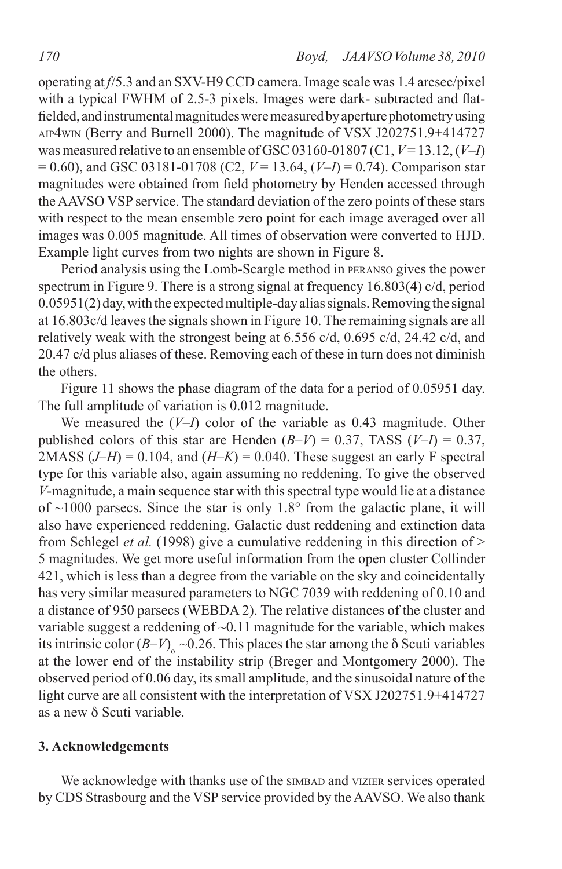operating at *f*/5.3 and an SXV-H9 CCD camera. Image scale was 1.4 arcsec/pixel with a typical FWHM of 2.5-3 pixels. Images were dark- subtracted and flatfielded, and instrumental magnitudes were measured by aperture photometry using aip4win (Berry and Burnell 2000). The magnitude of VSX J202751.9+414727 wasmeasured relative to an ensemble of GSC03160-01807 (C1,*V*= 13.12,(*V–I*)  $= 0.60$ ), and GSC 03181-01708 (C2,  $V = 13.64$ ,  $(V-I) = 0.74$ ). Comparison star magnitudes were obtained from field photometry by Henden accessed through theAAVSO VSP service. The standard deviation of the zero points of these stars with respect to the mean ensemble zero point for each image averaged over all images was 0.005 magnitude. All times of observation were converted to HJD. Example light curves from two nights are shown in Figure 8.

Period analysis using the Lomb-Scargle method in peranso gives the power spectrum in Figure 9. There is a strong signal at frequency 16.803(4) c/d, period  $0.05951(2)$  day, with the expected multiple-day alias signals. Removing the signal at 16.803c/d leaves the signals shown in Figure 10. The remaining signals are all relatively weak with the strongest being at 6.556 c/d, 0.695 c/d, 24.42 c/d, and 20.47 c/d plus aliases of these. Removing each of these in turn does not diminish the others.

Figure 11 shows the phase diagram of the data for a period of 0.05951 day. The full amplitude of variation is 0.012 magnitude.

We measured the (*V–I*) color of the variable as 0.43 magnitude. Other published colors of this star are Henden  $(B-V) = 0.37$ , TASS  $(V-I) = 0.37$ , 2MASS  $(J-H) = 0.104$ , and  $(H-K) = 0.040$ . These suggest an early F spectral type for this variable also, again assuming no reddening. To give the observed *V*-magnitude, a main sequence star with this spectral type would lie at a distance of  $\sim$ 1000 parsecs. Since the star is only 1.8° from the galactic plane, it will also have experienced reddening. Galactic dust reddening and extinction data from Schlegel *et al.* (1998) give a cumulative reddening in this direction of > 5 magnitudes. We get more useful information from the open cluster Collinder 421, which is less than a degree from the variable on the sky and coincidentally has very similar measured parameters to NGC 7039 with reddening of 0.10 and a distance of 950 parsecs (WEBDA 2). The relative distances of the cluster and variable suggest a reddening of  $\sim$  0.11 magnitude for the variable, which makes its intrinsic color  $(B-V)_{0} \sim 0.26$ . This places the star among the  $\delta$  Scuti variables at the lower end of the instability strip (Breger and Montgomery 2000). The observed period of 0.06 day, itssmall amplitude, and the sinusoidal nature of the light curve are all consistent with the interpretation of VSX J202751.9+414727 as a new δ Scuti variable.

#### **3. Acknowledgements**

We acknowledge with thanks use of the SIMBAD and VIZIER services operated by CDS Strasbourg and the VSP service provided by theAAVSO. We also thank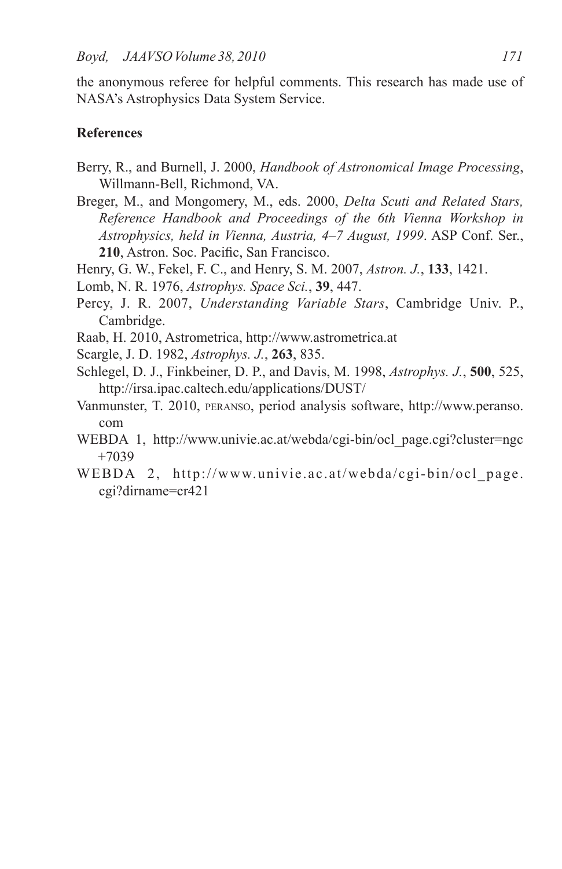the anonymous referee for helpful comments. This research has made use of NASA's Astrophysics Data System Service.

## **References**

- Berry, R., and Burnell, J. 2000, *Handbook of Astronomical Image Processing*, Willmann-Bell, Richmond, VA.
- Breger, M., and Mongomery, M., eds. 2000, *Delta Scuti and Related Stars, Reference Handbook and Proceedings of the 6th Vienna Workshop in Astrophysics, held in Vienna, Austria, 4–7 August, 1999*. ASP Conf. Ser., **210**, Astron. Soc. Pacific, San Francisco.
- Henry, G. W., Fekel, F. C., and Henry, S. M. 2007, *Astron. J.*, **133**, 1421.
- Lomb, N. R. 1976, *Astrophys. Space Sci.*, **39**, 447.
- Percy, J. R. 2007, *Understanding Variable Stars*, Cambridge Univ. P., Cambridge.
- Raab, H. 2010, Astrometrica, http://www.astrometrica.at
- Scargle, J. D. 1982, *Astrophys. J.*, **263**, 835.
- Schlegel, D. J., Finkbeiner, D. P., and Davis, M. 1998, *Astrophys. J.*, **500**, 525, http://irsa.ipac.caltech.edu/applications/DUST/
- Vanmunster, T. 2010, peranso, period analysis software, http://www.peranso. com
- WEBDA 1, http://www.univie.ac.at/webda/cgi-bin/ocl\_page.cgi?cluster=ngc +7039
- WEBDA 2, http://www.univie.ac.at/webda/cgi-bin/ocl page. cgi?dirname=cr421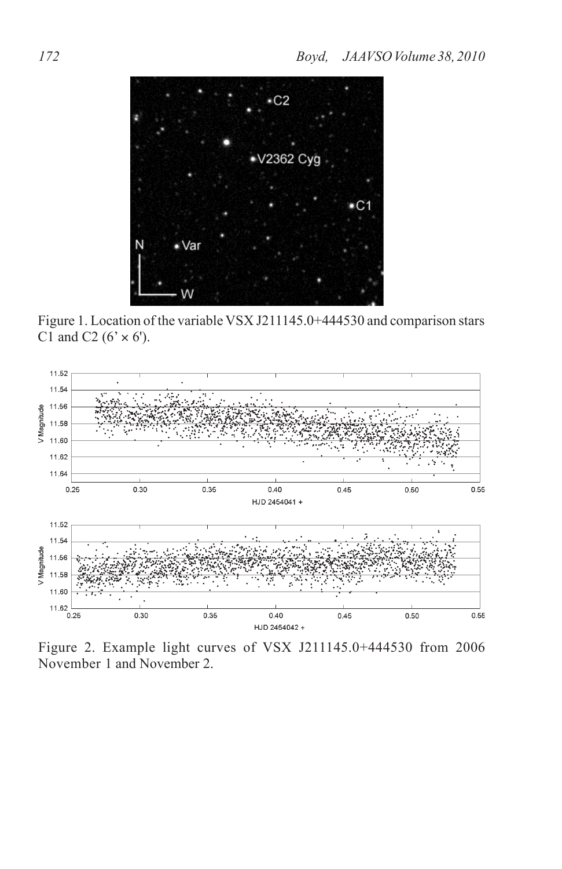

Figure 1. Location of the variable VSX J211145.0+444530 and comparison stars C1 and C2 ( $6' \times 6'$ ).



Figure 2. Example light curves of VSX J211145.0+444530 from 2006 November 1 and November 2.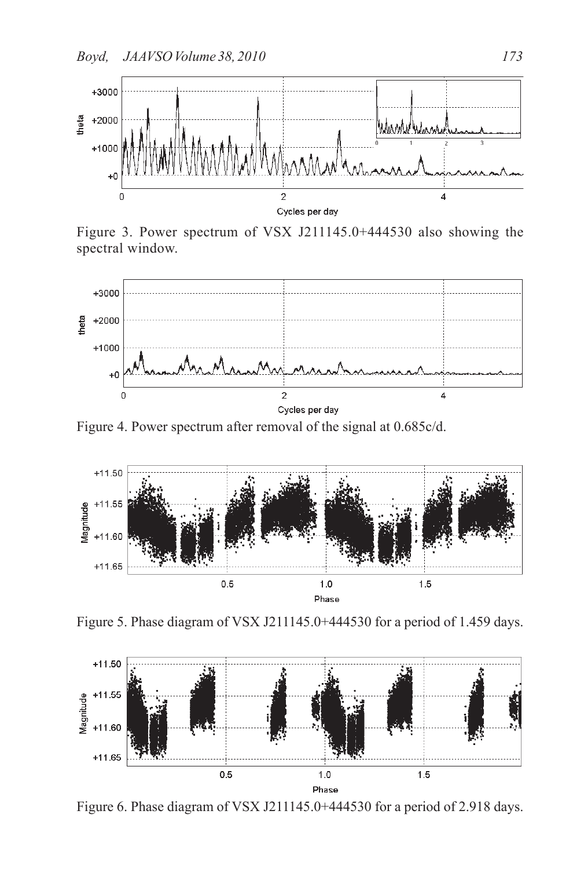

Figure 3. Power spectrum of VSX J211145.0+444530 also showing the spectral window.



Figure 4. Power spectrum after removal of the signal at 0.685c/d.



Figure 5. Phase diagram of VSX J211145.0+444530 for a period of 1.459 days.



Figure 6. Phase diagram of VSX J211145.0+444530 for a period of 2.918 days.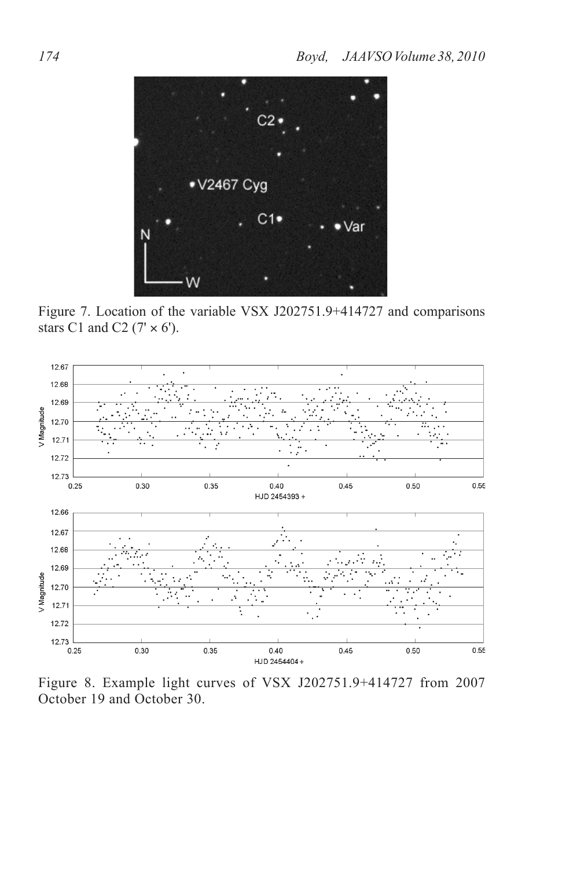

Figure 7. Location of the variable VSX J202751.9+414727 and comparisons stars C1 and C2 ( $7' \times 6'$ ).



Figure 8. Example light curves of VSX J202751.9+414727 from 2007 October 19 and October 30.